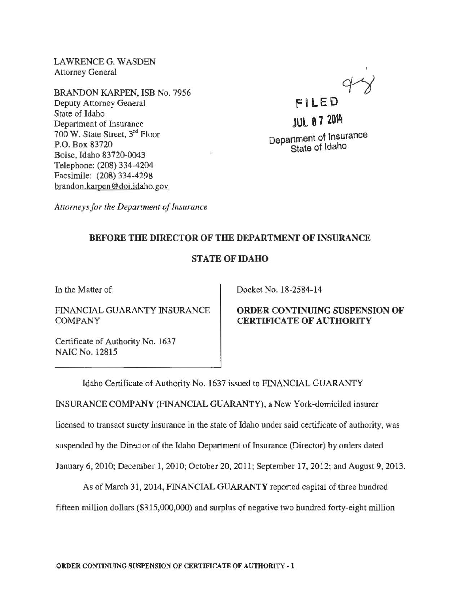LAWRENCE G. WASDEN Attorney General

BRANDON KARPEN, ISB No. 7956 Deputy Attorney General State of Idaho Department of Insurance 700 W. State Street, 3rd Floor P.O. Box 83720 Boise, Idaho 83720-0043 Telephone: (208) 334-4204 Facsimile: (208) 334-4298 brandon .karoen@ doi. idaho. gov



# **JUL 0 7 2014** Department of Insurance State of Idaho

*Attorneys for the Department of Insurance* 

# BEFORE THE DIRECTOR OF THE DEPARTMENT OF INSURANCE

# STATE OF IDAHO

In the Matter of:

FINANCIAL GUARANTY INSURANCE COMPANY

Certificate of Authority No. 1637 NAIC No. 12815

Docket No. 18-2584-14

# ORDER CONTINUING SUSPENSION OF CERTIFICATE OF AUTHORITY

Idaho Certificate of Authority No. 1637 issued to FINANCIAL GUARANTY INSURANCE COMPANY (FINANCIAL GUARANTY), a New York-domiciled insurer

licensed to transact surety insurance in the state of Idaho under said certificate of authority, was

suspended by the Director of the Idaho Department of Insurance (Director) by orders dated

January 6, 2010; December 1, 2010; October 20, 2011; September 17, 2012; and August 9, 2013.

As of March 31,2014, FINANCIAL GUARANTY reported capital of three hundred

fifteen million dollars (\$315,000,000) and surplus of negative two hundred forty-eight million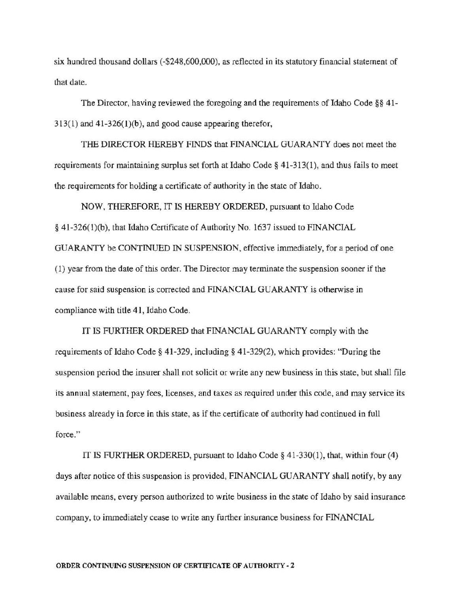six hundred thousand dollars ( -\$248,600,000), as reflected in its statutory financial statement of that date.

The Director, having reviewed the foregoing and the requirements of Idaho Code  $\S$ § 41- $313(1)$  and  $41-326(1)(b)$ , and good cause appearing therefor,

THE DIRECTOR HEREBY FINDS that FINANCIAL GUARANTY does not meet the requirements for maintaining surplus set forth at Idaho Code§ 41-313(1), and thus fails to meet the requirements for holding a certificate of authority in the state of Idaho.

NOW, THEREFORE, IT IS HEREBY ORDERED, pursuant to Idaho Code § 41-326(l)(b), that Idaho Certificate of Authority No. 1637 issued to FINANCIAL GUARANTY be CONTINUED IN SUSPENSION, effective immediately, for a period of one (1) year from the date of this order. The Director may terminate the suspension sooner if the cause for said suspension is corrected and FINANCIAL GUARANTY is otherwise in compliance with title 41, Idaho Code.

IT IS FURTHER ORDERED that FINANCIAL GUARANTY comply with the requirements of Idaho Code§ 41-329, including§ 41-329(2), which provides: "During the suspension period the insurer shall not solicit or write any new business in this state, but shall file its annual statement, pay fees, licenses, and taxes as required under this code, and may service its business already in force in this state, as if the certificate of authority had continued in full force."

IT IS FURTHER ORDERED, pursuant to Idaho Code§ 41-330(1), that, within four (4) days after notice of this suspension is provided, FINANCIAL GUARANTY shall notify, by any available means, every person authorized to write business in the state of Idaho by said insurance company, to immediately cease to write any further insurance business for FINANCIAL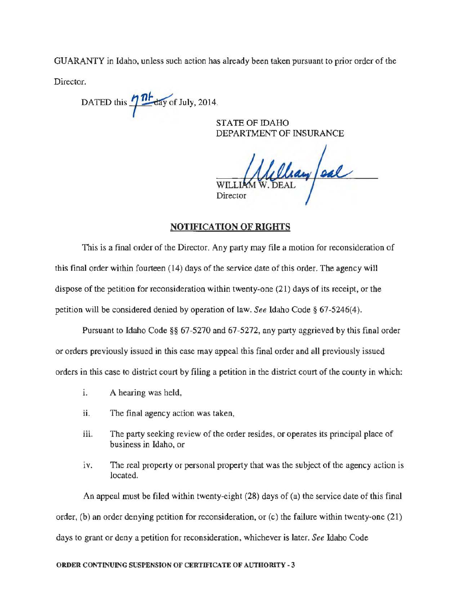GUARANTY in Idaho, unless such action has already been taken pursuant *to* prior order of the

Director.

DATED this  $\frac{\partial h}{\partial x}$  July, 2014.

STATE OF IDAHO DEPARTMENT OF INSURANCE

allay/aal WILLI<sub>J</sub> Director

#### NOTIFICATION OF RIGHTS

This is a final order of the Director. Any party may file a motion for reconsideration of this final order within fourteen (14) days of the service date of this order. The agency will dispose of the petition for reconsideration within twenty-one (21) days of its receipt, or the petition will be considered denied by operation of law. *See* Idaho Code§ 67-5246(4).

Pursuant to Idaho Code §§ 67-5270 and 67-5272, any party aggrieved by this final order or orders previously issued in this case may appeal this final order and all previously issued orders in this case to district court by filing a petition in the district court of the county in which:

- i. A hearing was held,
- ii. The final agency action was taken,
- iii. The party seeking review of the order resides, or operates its principal place of business in Idaho, or
- iv. The real property or personal property that was the subject of the agency action is located.

An appeal must be filed within twenty-eight (28) days of (a) the service date of this final order, (b) an order denying petition for reconsideration, or (c) the failure within twenty-one (21) days to grant or deny a petition for reconsideration, whichever is later. *See* Idaho Code

#### ORDER CONTINUING SUSPENSION OF CERTIFICATE OF AUTHORITY- 3